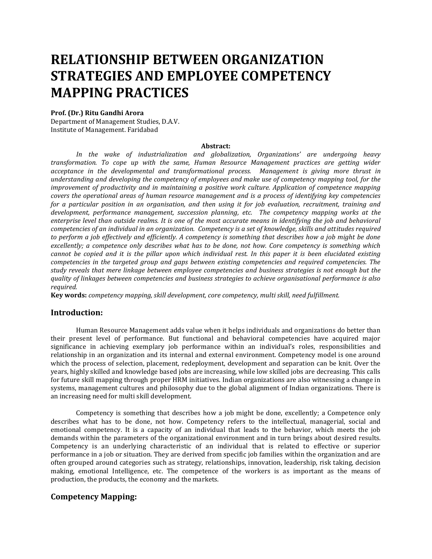# **RELATIONSHIP BETWEEN ORGANIZATION STRATEGIES AND EMPLOYEE COMPETENCY MAPPING PRACTICES**

#### **Prof. (Dr.) Ritu Gandhi Arora**

Department of Management Studies, D.A.V. Institute of Management. Faridabad

#### **Abstract:**

*In the wake of industrialization and globalization, Organizations' are undergoing heavy transformation. To cope up with the same, Human Resource Management practices are getting wider acceptance in the developmental and transformational process. Management is giving more thrust in understanding and developing the competency of employees and make use of competency mapping tool, for the improvement of productivity and in maintaining a positive work culture. Application of competence mapping covers the operational areas of human resource management and is a process of identifying key competencies for a particular position in an organisation, and then using it for job evaluation, recruitment, training and development, performance management, succession planning, etc. The competency mapping works at the enterprise level than outside realms. It is one of the most accurate means in identifying the job and behavioral competencies of an individual in an organization. Competency is a set of knowledge, skills and attitudes required to perform a job effectively and efficiently. A competency is something that describes how a job might be done excellently; a competence only describes what has to be done, not how. Core competency is something which cannot be copied and it is the pillar upon which individual rest. In this paper it is been elucidated existing competencies in the targeted group and gaps between existing competencies and required competencies. The study reveals that mere linkage between employee competencies and business strategies is not enough but the quality of linkages between competencies and business strategies to achieve organisational performance is also required.* 

**Key words:** *competency mapping, skill development, core competency, multi skill, need fulfillment.* 

#### **Introduction:**

Human Resource Management adds value when it helps individuals and organizations do better than their present level of performance. But functional and behavioral competencies have acquired major significance in achieving exemplary job performance within an individual's roles, responsibilities and relationship in an organization and its internal and external environment. Competency model is one around which the process of selection, placement, redeployment, development and separation can be knit. Over the years, highly skilled and knowledge based jobs are increasing, while low skilled jobs are decreasing. This calls for future skill mapping through proper HRM initiatives. Indian organizations are also witnessing a change in systems, management cultures and philosophy due to the global alignment of Indian organizations. There is an increasing need for multi skill development.

Competency is something that describes how a job might be done, excellently; a Competence only describes what has to be done, not how. Competency refers to the intellectual, managerial, social and emotional competency. It is a capacity of an individual that leads to the behavior, which meets the job demands within the parameters of the organizational environment and in turn brings about desired results. Competency is an underlying characteristic of an individual that is related to effective or superior performance in a job or situation. They are derived from specific job families within the organization and are often grouped around categories such as strategy, relationships, innovation, leadership, risk taking, decision making, emotional Intelligence, etc. The competence of the workers is as important as the means of production, the products, the economy and the markets.

# **Competency Mapping:**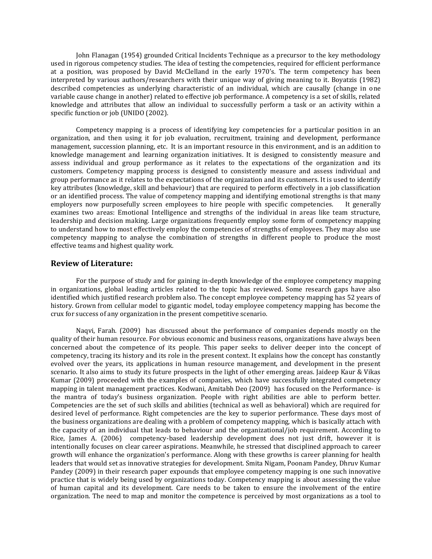John Flanagan (1954) grounded Critical Incidents Technique as a precursor to the key methodology used in rigorous competency studies. The idea of testing the competencies, required for efficient performance at a position, was proposed by David McClelland in the early 1970's. The term competency has been interpreted by various authors/researchers with their unique way of giving meaning to it. Boyatzis (1982) described competencies as underlying characteristic of an individual, which are causally (change in one variable cause change in another) related to effective job performance. A competency is a set of skills, related knowledge and attributes that allow an individual to successfully perform a task or an activity within a specific function or job (UNIDO (2002).

Competency mapping is a process of identifying key competencies for a particular position in an organization, and then using it for job evaluation, recruitment, training and development, performance management, succession planning, etc. It is an important resource in this environment, and is an addition to knowledge management and learning organization initiatives. It is designed to consistently measure and assess individual and group performance as it relates to the expectations of the organization and its customers. Competency mapping process is designed to consistently measure and assess individual and group performance as it relates to the expectations of the organization and its customers. It is used to identify key attributes (knowledge, skill and behaviour) that are required to perform effectively in a job classification or an identified process. The value of competency mapping and identifying emotional strengths is that many employers now purposefully screen employees to hire people with specific competencies. It generally examines two areas: Emotional Intelligence and strengths of the individual in areas like team structure, leadership and decision making. Large organizations frequently employ some form of competency mapping to understand how to most effectively employ the competencies of strengths of employees. They may also use competency mapping to analyse the combination of strengths in different people to produce the most effective teams and highest quality work.

#### **Review of Literature:**

For the purpose of study and for gaining in-depth knowledge of the employee competency mapping in organizations, global leading articles related to the topic has reviewed. Some research gaps have also identified which justified research problem also. The concept employee competency mapping has 52 years of history. Grown from cellular model to gigantic model, today employee competency mapping has become the crux for success of any organization in the present competitive scenario.

Naqvi, Farah. (2009) has discussed about the performance of companies depends mostly on the quality of their human resource. For obvious economic and business reasons, organizations have always been concerned about the competence of its people. This paper seeks to deliver deeper into the concept of competency, tracing its history and its role in the present context. It explains how the concept has constantly evolved over the years, its applications in human resource management, and development in the present scenario. It also aims to study its future prospects in the light of other emerging areas. Jaideep Kaur & Vikas Kumar (2009) proceeded with the examples of companies, which have successfully integrated competency mapping in talent management practices. Kodwani, Amitabh Deo (2009) has focused on the Performance- is the mantra of today's business organization. People with right abilities are able to perform better. Competencies are the set of such skills and abilities (technical as well as behavioral) which are required for desired level of performance. Right competencies are the key to superior performance. These days most of the business organizations are dealing with a problem of competency mapping, which is basically attach with the capacity of an individual that leads to behaviour and the organizational/job requirement. According to Rice, James A. (2006) competency-based leadership development does not just drift, however it is intentionally focuses on clear career aspirations. Meanwhile, he stressed that disciplined approach to career growth will enhance the organization's performance. Along with these growths is career planning for health leaders that would set as innovative strategies for development. Smita Nigam, Poonam Pandey, Dhruv Kumar Pandey (2009) in their research paper expounds that employee competency mapping is one such innovative practice that is widely being used by organizations today. Competency mapping is about assessing the value of human capital and its development. Care needs to be taken to ensure the involvement of the entire organization. The need to map and monitor the competence is perceived by most organizations as a tool to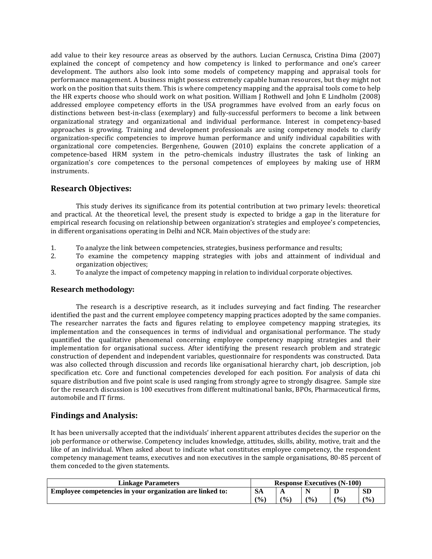add value to their key resource areas as observed by the authors. Lucian Cernusca, Cristina Dima (2007) explained the concept of competency and how competency is linked to performance and one's career development. The authors also look into some models of competency mapping and appraisal tools for performance management. A business might possess extremely capable human resources, but they might not work on the position that suits them. This is where competency mapping and the appraisal tools come to help the HR experts choose who should work on what position. William J Rothwell and John E Lindholm (2008) addressed employee competency efforts in the USA programmes have evolved from an early focus on distinctions between best-in-class (exemplary) and fully-successful performers to become a link between organizational strategy and organizational and individual performance. Interest in competency-based approaches is growing. Training and development professionals are using competency models to clarify organization-specific competencies to improve human performance and unify individual capabilities with organizational core competencies. Bergenhene, Gouwen (2010) explains the concrete application of a competence-based HRM system in the petro-chemicals industry illustrates the task of linking an organization's core competences to the personal competences of employees by making use of HRM instruments.

## **Research Objectives:**

This study derives its significance from its potential contribution at two primary levels: theoretical and practical. At the theoretical level, the present study is expected to bridge a gap in the literature for empirical research focusing on relationship between organization's strategies and employee's competencies, in different organisations operating in Delhi and NCR. Main objectives of the study are:

- 1. To analyze the link between competencies, strategies, business performance and results;
- 2. To examine the competency mapping strategies with jobs and attainment of individual and organization objectives;
- 3. To analyze the impact of competency mapping in relation to individual corporate objectives.

### **Research methodology:**

The research is a descriptive research, as it includes surveying and fact finding. The researcher identified the past and the current employee competency mapping practices adopted by the same companies. The researcher narrates the facts and figures relating to employee competency mapping strategies, its implementation and the consequences in terms of individual and organisational performance. The study quantified the qualitative phenomenal concerning employee competency mapping strategies and their implementation for organisational success. After identifying the present research problem and strategic construction of dependent and independent variables, questionnaire for respondents was constructed. Data was also collected through discussion and records like organisational hierarchy chart, job description, job specification etc. Core and functional competencies developed for each position. For analysis of data chi square distribution and five point scale is used ranging from strongly agree to strongly disagree. Sample size for the research discussion is 100 executives from different multinational banks, BPOs, Pharmaceutical firms, automobile and IT firms.

# **Findings and Analysis:**

It has been universally accepted that the individuals' inherent apparent attributes decides the superior on the job performance or otherwise. Competency includes knowledge, attitudes, skills, ability, motive, trait and the like of an individual. When asked about to indicate what constitutes employee competency, the respondent competency management teams, executives and non executives in the sample organisations, 80-85 percent of them conceded to the given statements.

| <b>Linkage Parameters</b>                                 | <b>Response Executives (N-100)</b> |                 |               |                |           |  |  |
|-----------------------------------------------------------|------------------------------------|-----------------|---------------|----------------|-----------|--|--|
| Employee competencies in your organization are linked to: | - SA                               | A               |               |                | <b>SD</b> |  |  |
|                                                           | (9/0)                              | $\frac{1}{2}$ . | $\frac{1}{2}$ | $\frac{10}{6}$ | (9/0)     |  |  |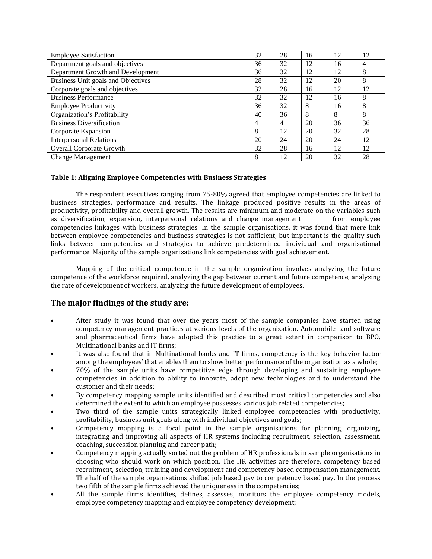| <b>Employee Satisfaction</b>       | 32 | 28 | 16 | 12 | 12 |
|------------------------------------|----|----|----|----|----|
| Department goals and objectives    | 36 | 32 | 12 | 16 | 4  |
| Department Growth and Development  | 36 | 32 | 12 | 12 | 8  |
| Business Unit goals and Objectives | 28 | 32 | 12 | 20 | 8  |
| Corporate goals and objectives     | 32 | 28 | 16 | 12 | 12 |
| <b>Business Performance</b>        | 32 | 32 | 12 | 16 | 8  |
| <b>Employee Productivity</b>       | 36 | 32 | 8  | 16 | 8  |
| Organization's Profitability       | 40 | 36 | 8  | 8  | 8  |
| <b>Business Diversification</b>    | 4  | 4  | 20 | 36 | 36 |
| Corporate Expansion                | 8  | 12 | 20 | 32 | 28 |
| <b>Interpersonal Relations</b>     | 20 | 24 | 20 | 24 | 12 |
| <b>Overall Corporate Growth</b>    | 32 | 28 | 16 | 12 | 12 |
| <b>Change Management</b>           | 8  | 12 | 20 | 32 | 28 |

#### **Table 1: Aligning Employee Competencies with Business Strategies**

The respondent executives ranging from 75-80% agreed that employee competencies are linked to business strategies, performance and results. The linkage produced positive results in the areas of productivity, profitability and overall growth. The results are minimum and moderate on the variables such as diversification, expansion, interpersonal relations and change management from employee competencies linkages with business strategies. In the sample organisations, it was found that mere link between employee competencies and business strategies is not sufficient, but important is the quality such links between competencies and strategies to achieve predetermined individual and organisational performance. Majority of the sample organisations link competencies with goal achievement.

Mapping of the critical competence in the sample organization involves analyzing the future competence of the workforce required, analyzing the gap between current and future competence, analyzing the rate of development of workers, analyzing the future development of employees.

# **The major findings of the study are:**

- After study it was found that over the years most of the sample companies have started using competency management practices at various levels of the organization. Automobile and software and pharmaceutical firms have adopted this practice to a great extent in comparison to BPO, Multinational banks and IT firms;
- It was also found that in Multinational banks and IT firms, competency is the key behavior factor among the employees' that enables them to show better performance of the organization as a whole;
- 70% of the sample units have competitive edge through developing and sustaining employee competencies in addition to ability to innovate, adopt new technologies and to understand the customer and their needs;
- By competency mapping sample units identified and described most critical competencies and also determined the extent to which an employee possesses various job related competencies;
- Two third of the sample units strategically linked employee competencies with productivity, profitability, business unit goals along with individual objectives and goals;
- Competency mapping is a focal point in the sample organisations for planning, organizing, integrating and improving all aspects of HR systems including recruitment, selection, assessment, coaching, succession planning and career path;
- Competency mapping actually sorted out the problem of HR professionals in sample organisations in choosing who should work on which position. The HR activities are therefore, competency based recruitment, selection, training and development and competency based compensation management. The half of the sample organisations shifted job based pay to competency based pay. In the process two fifth of the sample firms achieved the uniqueness in the competencies;
- All the sample firms identifies, defines, assesses, monitors the employee competency models, employee competency mapping and employee competency development;